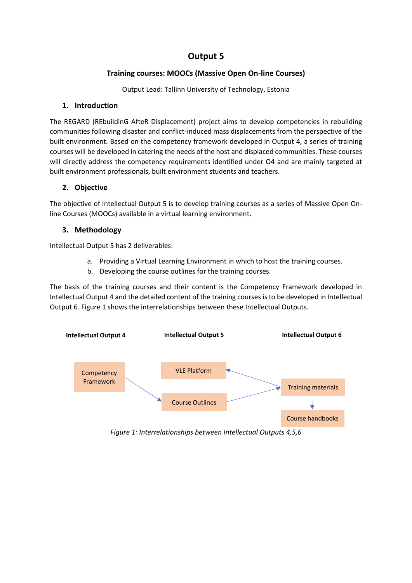# **Output 5**

# **Training courses: MOOCs (Massive Open On-line Courses)**

Output Lead: Tallinn University of Technology, Estonia

### **1. Introduction**

The REGARD (REbuildinG AfteR Displacement) project aims to develop competencies in rebuilding communities following disaster and conflict-induced mass displacements from the perspective of the built environment. Based on the competency framework developed in Output 4, a series of training courses will be developed in catering the needs of the host and displaced communities. These courses will directly address the competency requirements identified under O4 and are mainly targeted at built environment professionals, built environment students and teachers.

# **2. Objective**

The objective of Intellectual Output 5 is to develop training courses as a series of Massive Open Online Courses (MOOCs) available in a virtual learning environment.

# **3. Methodology**

Intellectual Output 5 has 2 deliverables:

- a. Providing a Virtual Learning Environment in which to host the training courses.
- b. Developing the course outlines for the training courses.

The basis of the training courses and their content is the Competency Framework developed in Intellectual Output 4 and the detailed content of the training courses is to be developed in Intellectual Output 6. Figure 1 shows the interrelationships between these Intellectual Outputs.



*Figure 1: Interrelationships between Intellectual Outputs 4,5,6*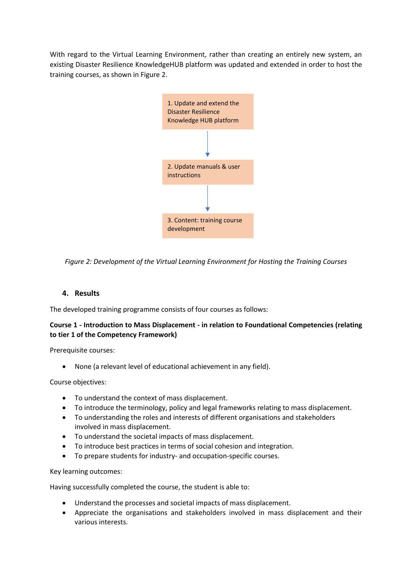With regard to the Virtual Learning Environment, rather than creating an entirely new system, an existing Disaster Resilience KnowledgeHUB platform was updated and extended in order to host the training courses, as shown in Figure 2.



*Figure 2: Development of the Virtual Learning Environment for Hosting the Training Courses*

### **4. Results**

The developed training programme consists of four courses as follows:

# **Course 1 - Introduction to Mass Displacement - in relation to Foundational Competencies (relating to tier 1 of the Competency Framework)**

Prerequisite courses:

• None (a relevant level of educational achievement in any field).

Course objectives:

- To understand the context of mass displacement.
- To introduce the terminology, policy and legal frameworks relating to mass displacement.
- To understanding the roles and interests of different organisations and stakeholders involved in mass displacement.
- To understand the societal impacts of mass displacement.
- To introduce best practices in terms of social cohesion and integration.
- To prepare students for industry- and occupation-specific courses.

Key learning outcomes:

Having successfully completed the course, the student is able to:

- Understand the processes and societal impacts of mass displacement.
- Appreciate the organisations and stakeholders involved in mass displacement and their various interests.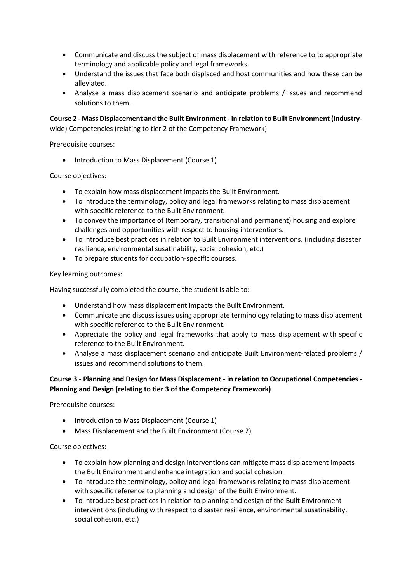- Communicate and discuss the subject of mass displacement with reference to to appropriate terminology and applicable policy and legal frameworks.
- Understand the issues that face both displaced and host communities and how these can be alleviated.
- Analyse a mass displacement scenario and anticipate problems / issues and recommend solutions to them.

**Course 2 - Mass Displacement and the Built Environment - in relation to Built Environment (Industry**wide) Competencies (relating to tier 2 of the Competency Framework)

Prerequisite courses:

• Introduction to Mass Displacement (Course 1)

Course objectives:

- To explain how mass displacement impacts the Built Environment.
- To introduce the terminology, policy and legal frameworks relating to mass displacement with specific reference to the Built Environment.
- To convey the importance of (temporary, transitional and permanent) housing and explore challenges and opportunities with respect to housing interventions.
- To introduce best practices in relation to Built Environment interventions. (including disaster resilience, environmental susatinability, social cohesion, etc.)
- To prepare students for occupation-specific courses.

#### Key learning outcomes:

Having successfully completed the course, the student is able to:

- Understand how mass displacement impacts the Built Environment.
- Communicate and discuss issues using appropriate terminology relating to mass displacement with specific reference to the Built Environment.
- Appreciate the policy and legal frameworks that apply to mass displacement with specific reference to the Built Environment.
- Analyse a mass displacement scenario and anticipate Built Environment-related problems / issues and recommend solutions to them.

### **Course 3 - Planning and Design for Mass Displacement - in relation to Occupational Competencies - Planning and Design (relating to tier 3 of the Competency Framework)**

Prerequisite courses:

- Introduction to Mass Displacement (Course 1)
- Mass Displacement and the Built Environment (Course 2)

Course objectives:

- To explain how planning and design interventions can mitigate mass displacement impacts the Built Environment and enhance integration and social cohesion.
- To introduce the terminology, policy and legal frameworks relating to mass displacement with specific reference to planning and design of the Built Environment.
- To introduce best practices in relation to planning and design of the Built Environment interventions (including with respect to disaster resilience, environmental susatinability, social cohesion, etc.)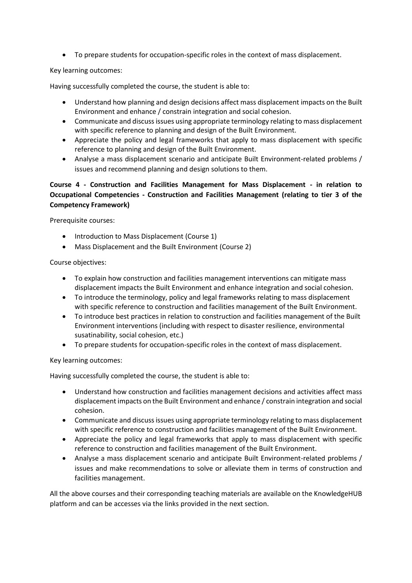• To prepare students for occupation-specific roles in the context of mass displacement.

### Key learning outcomes:

Having successfully completed the course, the student is able to:

- Understand how planning and design decisions affect mass displacement impacts on the Built Environment and enhance / constrain integration and social cohesion.
- Communicate and discuss issues using appropriate terminology relating to mass displacement with specific reference to planning and design of the Built Environment.
- Appreciate the policy and legal frameworks that apply to mass displacement with specific reference to planning and design of the Built Environment.
- Analyse a mass displacement scenario and anticipate Built Environment-related problems / issues and recommend planning and design solutions to them.

### **Course 4 - Construction and Facilities Management for Mass Displacement - in relation to Occupational Competencies - Construction and Facilities Management (relating to tier 3 of the Competency Framework)**

Prerequisite courses:

- Introduction to Mass Displacement (Course 1)
- Mass Displacement and the Built Environment (Course 2)

#### Course objectives:

- To explain how construction and facilities management interventions can mitigate mass displacement impacts the Built Environment and enhance integration and social cohesion.
- To introduce the terminology, policy and legal frameworks relating to mass displacement with specific reference to construction and facilities management of the Built Environment.
- To introduce best practices in relation to construction and facilities management of the Built Environment interventions (including with respect to disaster resilience, environmental susatinability, social cohesion, etc.)
- To prepare students for occupation-specific roles in the context of mass displacement.

Key learning outcomes:

Having successfully completed the course, the student is able to:

- Understand how construction and facilities management decisions and activities affect mass displacement impacts on the Built Environment and enhance / constrain integration and social cohesion.
- Communicate and discuss issues using appropriate terminology relating to mass displacement with specific reference to construction and facilities management of the Built Environment.
- Appreciate the policy and legal frameworks that apply to mass displacement with specific reference to construction and facilities management of the Built Environment.
- Analyse a mass displacement scenario and anticipate Built Environment-related problems / issues and make recommendations to solve or alleviate them in terms of construction and facilities management.

All the above courses and their corresponding teaching materials are available on the KnowledgeHUB platform and can be accesses via the links provided in the next section.